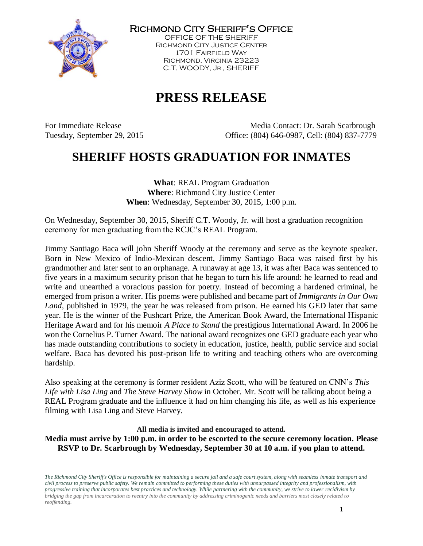

Richmond City Sheriff's Office

OFFICE OF THE SHERIFF Richmond City Justice Center 1701 Fairfield Way Richmond, Virginia 23223 C.T. WOODY, JR., SHERIFF

## **PRESS RELEASE**

For Immediate Release The Media Contact: Dr. Sarah Scarbrough Tuesday, September 29, 2015 Office: (804) 646-0987, Cell: (804) 837-7779

## **SHERIFF HOSTS GRADUATION FOR INMATES**

**What**: REAL Program Graduation **Where**: Richmond City Justice Center **When**: Wednesday, September 30, 2015, 1:00 p.m.

On Wednesday, September 30, 2015, Sheriff C.T. Woody, Jr. will host a graduation recognition ceremony for men graduating from the RCJC's REAL Program.

Jimmy Santiago Baca will john Sheriff Woody at the ceremony and serve as the keynote speaker. Born in New Mexico of Indio-Mexican descent, Jimmy Santiago Baca was raised first by his grandmother and later sent to an orphanage. A runaway at age 13, it was after Baca was sentenced to five years in a maximum security prison that he began to turn his life around: he learned to read and write and unearthed a voracious passion for poetry. Instead of becoming a hardened criminal, he emerged from prison a writer. His poems were published and became part of *Immigrants in Our Own Land*, published in 1979, the year he was released from prison. He earned his GED later that same year. He is the winner of the Pushcart Prize, the American Book Award, the International Hispanic Heritage Award and for his memoir *A Place to Stand* the prestigious International Award. In 2006 he won the Cornelius P. Turner Award. The national award recognizes one GED graduate each year who has made outstanding contributions to society in education, justice, health, public service and social welfare. Baca has devoted his post-prison life to writing and teaching others who are overcoming hardship.

Also speaking at the ceremony is former resident Aziz Scott, who will be featured on CNN's *This Life with Lisa Ling* and *The Steve Harvey Show* in October. Mr. Scott will be talking about being a REAL Program graduate and the influence it had on him changing his life, as well as his experience filming with Lisa Ling and Steve Harvey.

## **All media is invited and encouraged to attend.**

**Media must arrive by 1:00 p.m. in order to be escorted to the secure ceremony location. Please RSVP to Dr. Scarbrough by Wednesday, September 30 at 10 a.m. if you plan to attend.**

*The Richmond City Sheriff's Office is responsible for maintaining a secure jail and a safe court system, along with seamless inmate transport and civil process to preserve public safety. We remain committed to performing these duties with unsurpassed integrity and professionalism, with progressive training that incorporates best practices and technology. While partnering with the community, we strive to lower recidivism by bridging the gap from incarceration to reentry into the community by addressing criminogenic needs and barriers most closely related to reoffending.*